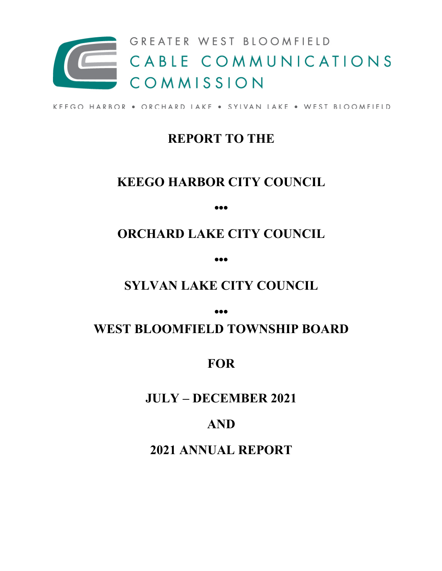

KEEGO HARBOR . ORCHARD LAKE . SYLVAN LAKE . WEST BLOOMFIELD

## **REPORT TO THE**

## **KEEGO HARBOR CITY COUNCIL**

**•••**

# **ORCHARD LAKE CITY COUNCIL**

**•••**

## **SYLVAN LAKE CITY COUNCIL**

**•••**

## **WEST BLOOMFIELD TOWNSHIP BOARD**

## **FOR**

## **JULY – DECEMBER 2021**

## **AND**

## **2021 ANNUAL REPORT**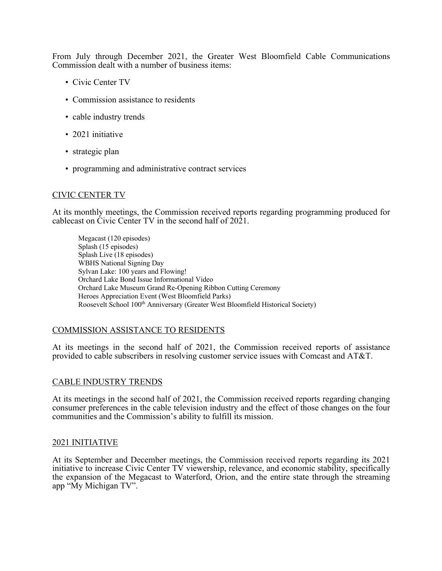From July through December 2021, the Greater West Bloomfield Cable Communications Commission dealt with a number of business items:

- Civic Center TV
- Commission assistance to residents
- cable industry trends
- 2021 initiative
- strategic plan
- programming and administrative contract services

### CIVIC CENTER TV

At its monthly meetings, the Commission received reports regarding programming produced for cablecast on Civic Center TV in the second half of 2021.

Megacast (120 episodes) Splash (15 episodes) Splash Live (18 episodes) WBHS National Signing Day Sylvan Lake: 100 years and Flowing! Orchard Lake Bond Issue Informational Video Orchard Lake Museum Grand Re-Opening Ribbon Cutting Ceremony Heroes Appreciation Event (West Bloomfield Parks) Roosevelt School 100<sup>th</sup> Anniversary (Greater West Bloomfield Historical Society)

### COMMISSION ASSISTANCE TO RESIDENTS

At its meetings in the second half of 2021, the Commission received reports of assistance provided to cable subscribers in resolving customer service issues with Comcast and AT&T.

#### CABLE INDUSTRY TRENDS

At its meetings in the second half of 2021, the Commission received reports regarding changing consumer preferences in the cable television industry and the effect of those changes on the four communities and the Commission's ability to fulfill its mission.

#### 2021 INITIATIVE

At its September and December meetings, the Commission received reports regarding its 2021 initiative to increase Civic Center TV viewership, relevance, and economic stability, specifically the expansion of the Megacast to Waterford, Orion, and the entire state through the streaming app "My Michigan TV".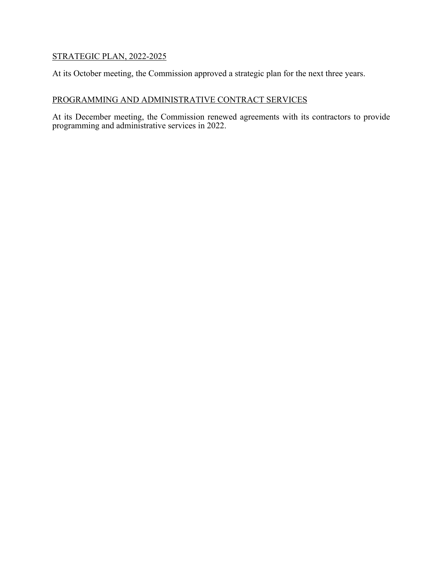## STRATEGIC PLAN, 2022-2025

At its October meeting, the Commission approved a strategic plan for the next three years.

### PROGRAMMING AND ADMINISTRATIVE CONTRACT SERVICES

At its December meeting, the Commission renewed agreements with its contractors to provide programming and administrative services in 2022.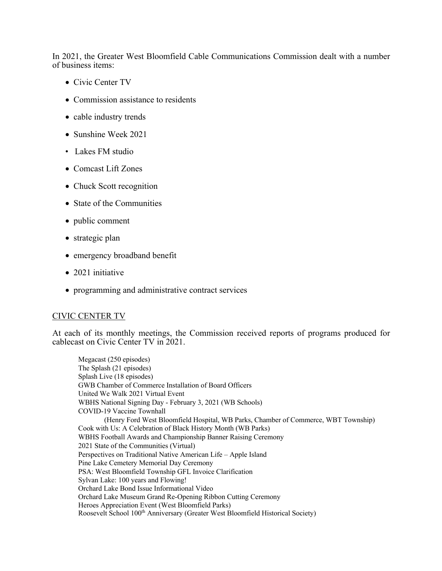In 2021, the Greater West Bloomfield Cable Communications Commission dealt with a number of business items:

- Civic Center TV
- Commission assistance to residents
- cable industry trends
- Sunshine Week 2021
- Lakes FM studio
- Comcast Lift Zones
- Chuck Scott recognition
- State of the Communities
- public comment
- strategic plan
- emergency broadband benefit
- 2021 initiative
- programming and administrative contract services

### CIVIC CENTER TV

At each of its monthly meetings, the Commission received reports of programs produced for cablecast on Civic Center TV in 2021.

Megacast (250 episodes) The Splash (21 episodes) Splash Live (18 episodes) GWB Chamber of Commerce Installation of Board Officers United We Walk 2021 Virtual Event WBHS National Signing Day - February 3, 2021 (WB Schools) COVID-19 Vaccine Townhall (Henry Ford West Bloomfield Hospital, WB Parks, Chamber of Commerce, WBT Township) Cook with Us: A Celebration of Black History Month (WB Parks) WBHS Football Awards and Championship Banner Raising Ceremony 2021 State of the Communities (Virtual) Perspectives on Traditional Native American Life – Apple Island Pine Lake Cemetery Memorial Day Ceremony PSA: West Bloomfield Township GFL Invoice Clarification Sylvan Lake: 100 years and Flowing! Orchard Lake Bond Issue Informational Video Orchard Lake Museum Grand Re-Opening Ribbon Cutting Ceremony Heroes Appreciation Event (West Bloomfield Parks) Roosevelt School 100<sup>th</sup> Anniversary (Greater West Bloomfield Historical Society)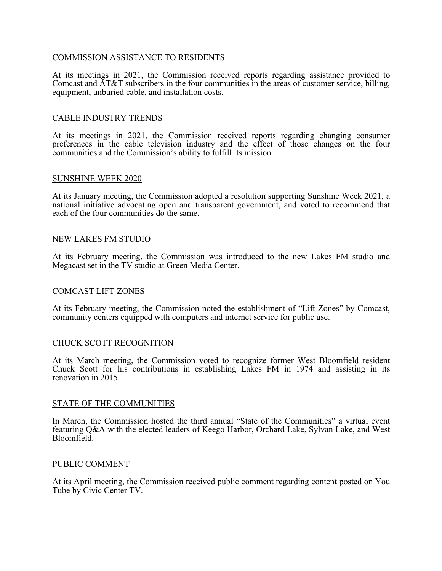### COMMISSION ASSISTANCE TO RESIDENTS

At its meetings in 2021, the Commission received reports regarding assistance provided to Comcast and AT&T subscribers in the four communities in the areas of customer service, billing, equipment, unburied cable, and installation costs.

#### CABLE INDUSTRY TRENDS

At its meetings in 2021, the Commission received reports regarding changing consumer preferences in the cable television industry and the effect of those changes on the four communities and the Commission's ability to fulfill its mission.

#### SUNSHINE WEEK 2020

At its January meeting, the Commission adopted a resolution supporting Sunshine Week 2021, a national initiative advocating open and transparent government, and voted to recommend that each of the four communities do the same.

#### NEW LAKES FM STUDIO

At its February meeting, the Commission was introduced to the new Lakes FM studio and Megacast set in the TV studio at Green Media Center.

#### COMCAST LIFT ZONES

At its February meeting, the Commission noted the establishment of "Lift Zones" by Comcast, community centers equipped with computers and internet service for public use.

#### CHUCK SCOTT RECOGNITION

At its March meeting, the Commission voted to recognize former West Bloomfield resident Chuck Scott for his contributions in establishing Lakes FM in 1974 and assisting in its renovation in 2015.

#### STATE OF THE COMMUNITIES

In March, the Commission hosted the third annual "State of the Communities" a virtual event featuring Q&A with the elected leaders of Keego Harbor, Orchard Lake, Sylvan Lake, and West Bloomfield.

#### PUBLIC COMMENT

At its April meeting, the Commission received public comment regarding content posted on You Tube by Civic Center TV.